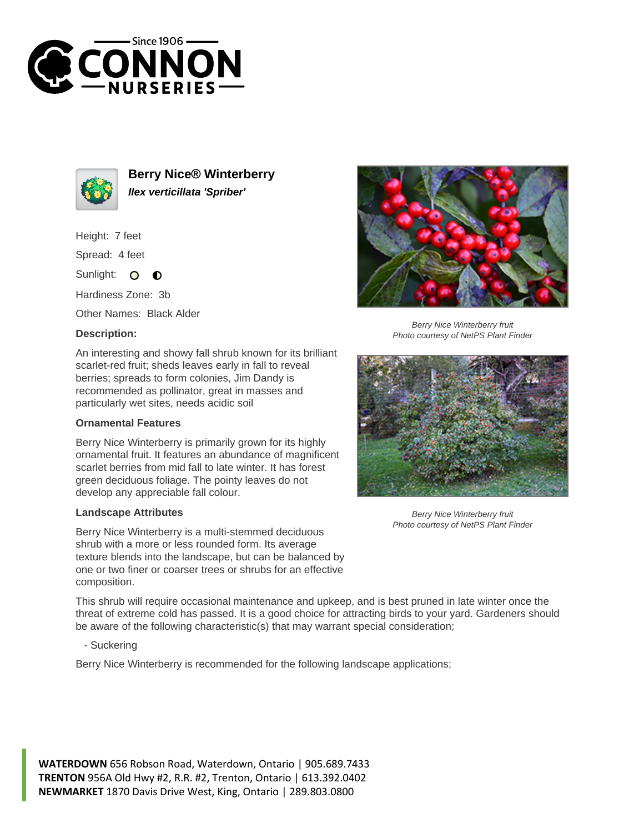



**Berry Nice® Winterberry Ilex verticillata 'Spriber'**

Height: 7 feet

Spread: 4 feet

Sunlight: O  $\bullet$ 

Hardiness Zone: 3b

Other Names: Black Alder

## **Description:**

An interesting and showy fall shrub known for its brilliant scarlet-red fruit; sheds leaves early in fall to reveal berries; spreads to form colonies, Jim Dandy is recommended as pollinator, great in masses and particularly wet sites, needs acidic soil

## **Ornamental Features**

Berry Nice Winterberry is primarily grown for its highly ornamental fruit. It features an abundance of magnificent scarlet berries from mid fall to late winter. It has forest green deciduous foliage. The pointy leaves do not develop any appreciable fall colour.

## **Landscape Attributes**

Berry Nice Winterberry is a multi-stemmed deciduous shrub with a more or less rounded form. Its average texture blends into the landscape, but can be balanced by one or two finer or coarser trees or shrubs for an effective composition.

Berry Nice Winterberry fruit Photo courtesy of NetPS Plant Finder



Berry Nice Winterberry fruit Photo courtesy of NetPS Plant Finder

This shrub will require occasional maintenance and upkeep, and is best pruned in late winter once the threat of extreme cold has passed. It is a good choice for attracting birds to your yard. Gardeners should be aware of the following characteristic(s) that may warrant special consideration;

- Suckering

Berry Nice Winterberry is recommended for the following landscape applications;

**WATERDOWN** 656 Robson Road, Waterdown, Ontario | 905.689.7433 **TRENTON** 956A Old Hwy #2, R.R. #2, Trenton, Ontario | 613.392.0402 **NEWMARKET** 1870 Davis Drive West, King, Ontario | 289.803.0800